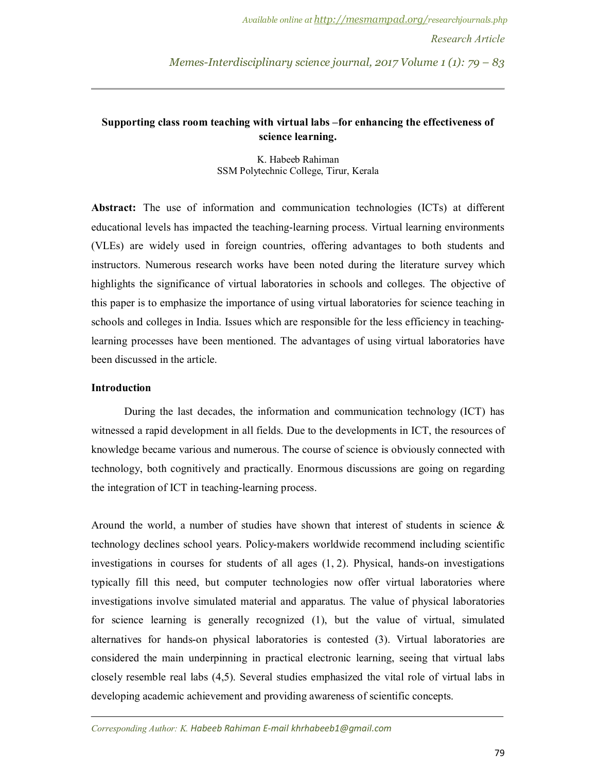*Memes-Interdisciplinary science journal, 2017 Volume 1 (1): 79 – 83*

# **Supporting class room teaching with virtual labs –for enhancing the effectiveness of science learning.**

K. Habeeb Rahiman SSM Polytechnic College, Tirur, Kerala

**Abstract:** The use of information and communication technologies (ICTs) at different educational levels has impacted the teaching-learning process. Virtual learning environments (VLEs) are widely used in foreign countries, offering advantages to both students and instructors. Numerous research works have been noted during the literature survey which highlights the significance of virtual laboratories in schools and colleges. The objective of this paper is to emphasize the importance of using virtual laboratories for science teaching in schools and colleges in India. Issues which are responsible for the less efficiency in teachinglearning processes have been mentioned. The advantages of using virtual laboratories have been discussed in the article.

## **Introduction**

During the last decades, the information and communication technology (ICT) has witnessed a rapid development in all fields. Due to the developments in ICT, the resources of knowledge became various and numerous. The course of science is obviously connected with technology, both cognitively and practically. Enormous discussions are going on regarding the integration of ICT in teaching-learning process.

Around the world, a number of studies have shown that interest of students in science  $\&$ technology declines school years. Policy-makers worldwide recommend including scientific investigations in courses for students of all ages (1, 2). Physical, hands-on investigations typically fill this need, but computer technologies now offer virtual laboratories where investigations involve simulated material and apparatus. The value of physical laboratories for science learning is generally recognized (1), but the value of virtual, simulated alternatives for hands-on physical laboratories is contested (3). Virtual laboratories are considered the main underpinning in practical electronic learning, seeing that virtual labs closely resemble real labs (4,5). Several studies emphasized the vital role of virtual labs in developing academic achievement and providing awareness of scientific concepts.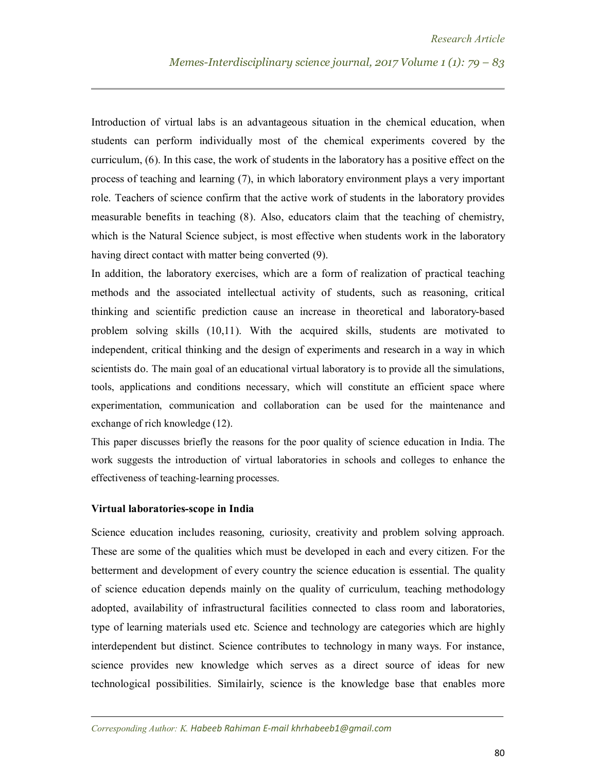Introduction of virtual labs is an advantageous situation in the chemical education, when students can perform individually most of the chemical experiments covered by the curriculum, (6). In this case, the work of students in the laboratory has a positive effect on the process of teaching and learning (7), in which laboratory environment plays a very important role. Teachers of science confirm that the active work of students in the laboratory provides measurable benefits in teaching (8). Also, educators claim that the teaching of chemistry, which is the Natural Science subject, is most effective when students work in the laboratory having direct contact with matter being converted (9).

In addition, the laboratory exercises, which are a form of realization of practical teaching methods and the associated intellectual activity of students, such as reasoning, critical thinking and scientific prediction cause an increase in theoretical and laboratory-based problem solving skills (10,11). With the acquired skills, students are motivated to independent, critical thinking and the design of experiments and research in a way in which scientists do. The main goal of an educational virtual laboratory is to provide all the simulations, tools, applications and conditions necessary, which will constitute an efficient space where experimentation, communication and collaboration can be used for the maintenance and exchange of rich knowledge (12).

This paper discusses briefly the reasons for the poor quality of science education in India. The work suggests the introduction of virtual laboratories in schools and colleges to enhance the effectiveness of teaching-learning processes.

#### **Virtual laboratories-scope in India**

Science education includes reasoning, curiosity, creativity and problem solving approach. These are some of the qualities which must be developed in each and every citizen. For the betterment and development of every country the science education is essential. The quality of science education depends mainly on the quality of curriculum, teaching methodology adopted, availability of infrastructural facilities connected to class room and laboratories, type of learning materials used etc. Science and technology are categories which are highly interdependent but distinct. Science contributes to technology in many ways. For instance, science provides new knowledge which serves as a direct source of ideas for new technological possibilities. Similairly, science is the knowledge base that enables more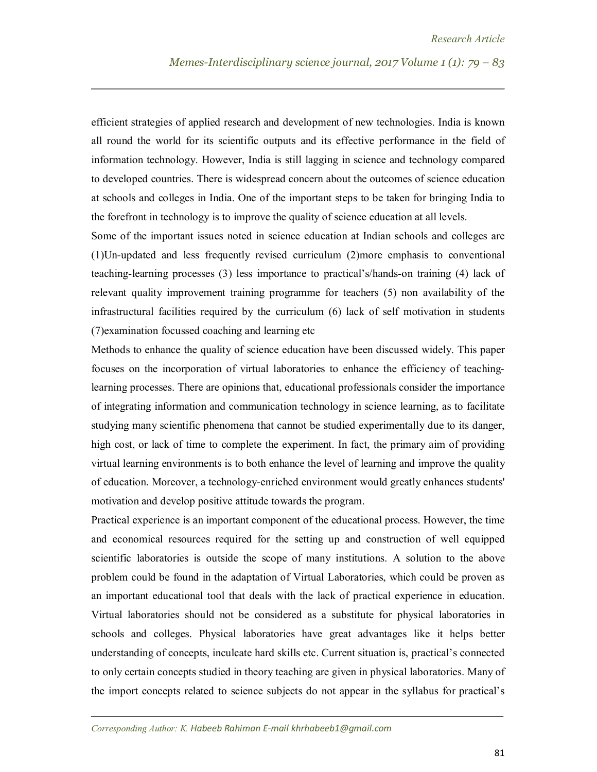efficient strategies of applied research and development of new technologies. India is known all round the world for its scientific outputs and its effective performance in the field of information technology. However, India is still lagging in science and technology compared to developed countries. There is widespread concern about the outcomes of science education at schools and colleges in India. One of the important steps to be taken for bringing India to the forefront in technology is to improve the quality of science education at all levels.

Some of the important issues noted in science education at Indian schools and colleges are (1)Un-updated and less frequently revised curriculum (2)more emphasis to conventional teaching-learning processes (3) less importance to practical's/hands-on training (4) lack of relevant quality improvement training programme for teachers (5) non availability of the infrastructural facilities required by the curriculum (6) lack of self motivation in students (7)examination focussed coaching and learning etc

Methods to enhance the quality of science education have been discussed widely. This paper focuses on the incorporation of virtual laboratories to enhance the efficiency of teachinglearning processes. There are opinions that, educational professionals consider the importance of integrating information and communication technology in science learning, as to facilitate studying many scientific phenomena that cannot be studied experimentally due to its danger, high cost, or lack of time to complete the experiment. In fact, the primary aim of providing virtual learning environments is to both enhance the level of learning and improve the quality of education. Moreover, a technology-enriched environment would greatly enhances students' motivation and develop positive attitude towards the program.

Practical experience is an important component of the educational process. However, the time and economical resources required for the setting up and construction of well equipped scientific laboratories is outside the scope of many institutions. A solution to the above problem could be found in the adaptation of Virtual Laboratories, which could be proven as an important educational tool that deals with the lack of practical experience in education. Virtual laboratories should not be considered as a substitute for physical laboratories in schools and colleges. Physical laboratories have great advantages like it helps better understanding of concepts, inculcate hard skills etc. Current situation is, practical's connected to only certain concepts studied in theory teaching are given in physical laboratories. Many of the import concepts related to science subjects do not appear in the syllabus for practical's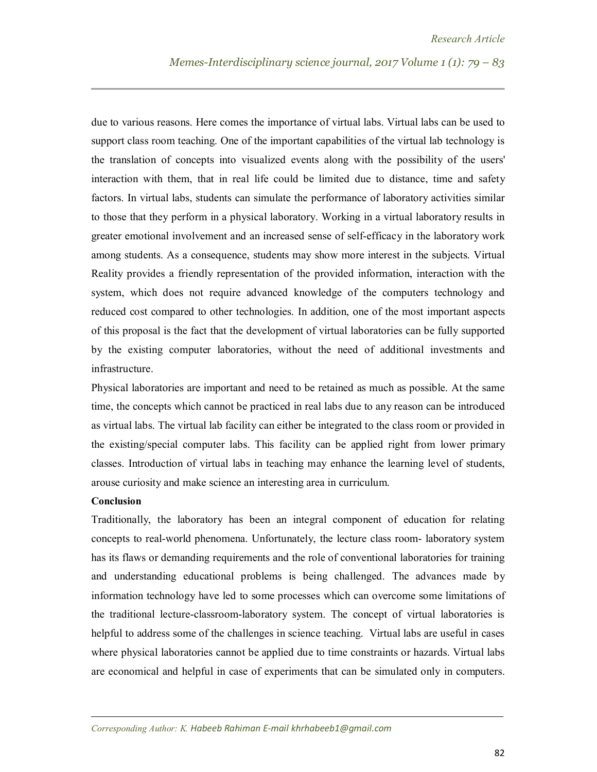due to various reasons. Here comes the importance of virtual labs. Virtual labs can be used to support class room teaching. One of the important capabilities of the virtual lab technology is the translation of concepts into visualized events along with the possibility of the users' interaction with them, that in real life could be limited due to distance, time and safety factors. In virtual labs, students can simulate the performance of laboratory activities similar to those that they perform in a physical laboratory. Working in a virtual laboratory results in greater emotional involvement and an increased sense of self-efficacy in the laboratory work among students. As a consequence, students may show more interest in the subjects. Virtual Reality provides a friendly representation of the provided information, interaction with the system, which does not require advanced knowledge of the computers technology and reduced cost compared to other technologies. In addition, one of the most important aspects of this proposal is the fact that the development of virtual laboratories can be fully supported by the existing computer laboratories, without the need of additional investments and infrastructure.

Physical laboratories are important and need to be retained as much as possible. At the same time, the concepts which cannot be practiced in real labs due to any reason can be introduced as virtual labs. The virtual lab facility can either be integrated to the class room or provided in the existing/special computer labs. This facility can be applied right from lower primary classes. Introduction of virtual labs in teaching may enhance the learning level of students, arouse curiosity and make science an interesting area in curriculum.

## **Conclusion**

Traditionally, the laboratory has been an integral component of education for relating concepts to real-world phenomena. Unfortunately, the lecture class room- laboratory system has its flaws or demanding requirements and the role of conventional laboratories for training and understanding educational problems is being challenged. The advances made by information technology have led to some processes which can overcome some limitations of the traditional lecture-classroom-laboratory system. The concept of virtual laboratories is helpful to address some of the challenges in science teaching. Virtual labs are useful in cases where physical laboratories cannot be applied due to time constraints or hazards. Virtual labs are economical and helpful in case of experiments that can be simulated only in computers.